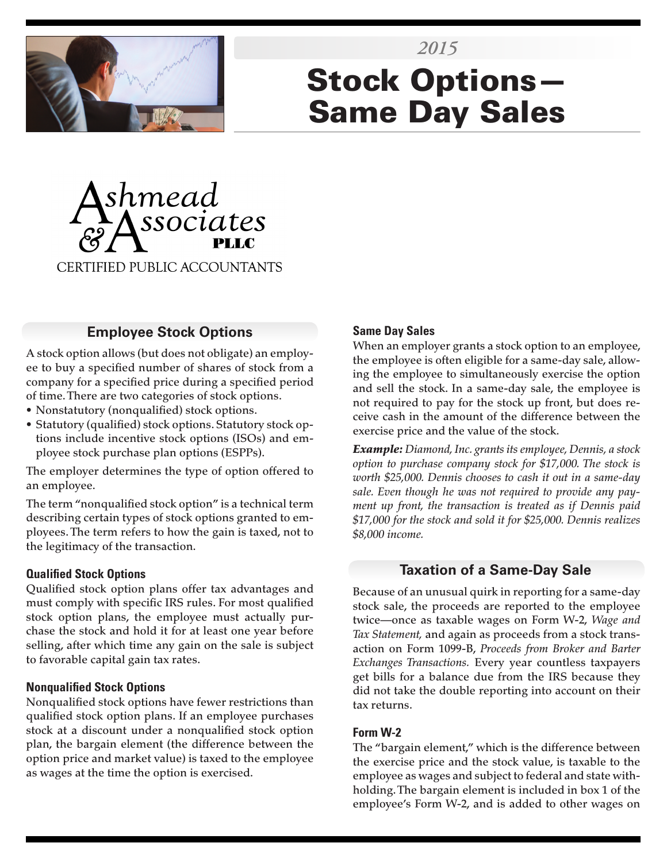

# Stock Options— Same Day Sales *2015*



## **Employee Stock Options**

A stock option allows (but does not obligate) an employee to buy a specified number of shares of stock from a company for a specified price during a specified period of time. There are two categories of stock options.

- Nonstatutory (nonqualified) stock options.
- Statutory (qualified) stock options. Statutory stock options include incentive stock options (ISOs) and employee stock purchase plan options (ESPPs).

The employer determines the type of option offered to an employee.

The term "nonqualified stock option" is a technical term describing certain types of stock options granted to employees. The term refers to how the gain is taxed, not to the legitimacy of the transaction.

#### **Qualified Stock Options**

Qualified stock option plans offer tax advantages and must comply with specific IRS rules. For most qualified stock option plans, the employee must actually purchase the stock and hold it for at least one year before selling, after which time any gain on the sale is subject to favorable capital gain tax rates.

#### **Nonqualified Stock Options**

Nonqualified stock options have fewer restrictions than qualified stock option plans. If an employee purchases stock at a discount under a nonqualified stock option plan, the bargain element (the difference between the option price and market value) is taxed to the employee as wages at the time the option is exercised.

#### **Same Day Sales**

When an employer grants a stock option to an employee, the employee is often eligible for a same-day sale, allowing the employee to simultaneously exercise the option and sell the stock. In a same-day sale, the employee is not required to pay for the stock up front, but does receive cash in the amount of the difference between the exercise price and the value of the stock.

*Example: Diamond, Inc. grants its employee, Dennis, a stock option to purchase company stock for \$17,000. The stock is worth \$25,000. Dennis chooses to cash it out in a same-day sale. Even though he was not required to provide any payment up front, the transaction is treated as if Dennis paid \$17,000 for the stock and sold it for \$25,000. Dennis realizes \$8,000 income.*

## **Taxation of a Same-Day Sale**

Because of an unusual quirk in reporting for a same-day stock sale, the proceeds are reported to the employee twice—once as taxable wages on Form W-2, *Wage and Tax Statement,* and again as proceeds from a stock transaction on Form 1099-B, *Proceeds from Broker and Barter Exchanges Transactions.* Every year countless taxpayers get bills for a balance due from the IRS because they did not take the double reporting into account on their tax returns.

#### **Form W-2**

The "bargain element," which is the difference between the exercise price and the stock value, is taxable to the employee as wages and subject to federal and state withholding. The bargain element is included in box 1 of the employee's Form W-2, and is added to other wages on